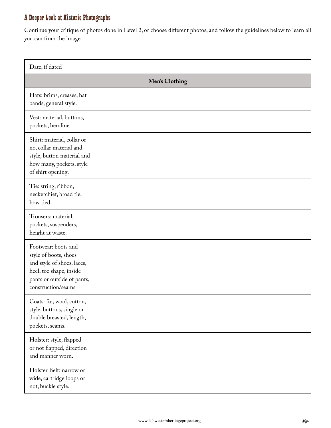## A Deeper Look at Historic Photographs

Continue your critique of photos done in Level 2, or choose different photos, and follow the guidelines below to learn all you can from the image.

| Date, if dated                                                                                                                                            |  |
|-----------------------------------------------------------------------------------------------------------------------------------------------------------|--|
| <b>Men's Clothing</b>                                                                                                                                     |  |
| Hats: brims, creases, hat<br>bands, general style.                                                                                                        |  |
| Vest: material, buttons,<br>pockets, hemline.                                                                                                             |  |
| Shirt: material, collar or<br>no, collar material and<br>style, button material and<br>how many, pockets, style<br>of shirt opening.                      |  |
| Tie: string, ribbon,<br>neckerchief, broad tie,<br>how tied.                                                                                              |  |
| Trousers: material,<br>pockets, suspenders,<br>height at waste.                                                                                           |  |
| Footwear: boots and<br>style of boots, shoes<br>and style of shoes, laces,<br>heel, toe shape, inside<br>pants or outside of pants,<br>construction/seams |  |
| Coats: fur, wool, cotton,<br>style, buttons, single or<br>double breasted, length,<br>pockets, seams.                                                     |  |
| Holster: style, flapped<br>or not flapped, direction<br>and manner worn.                                                                                  |  |
| Holster Belt: narrow or<br>wide, cartridge loops or<br>not, buckle style.                                                                                 |  |